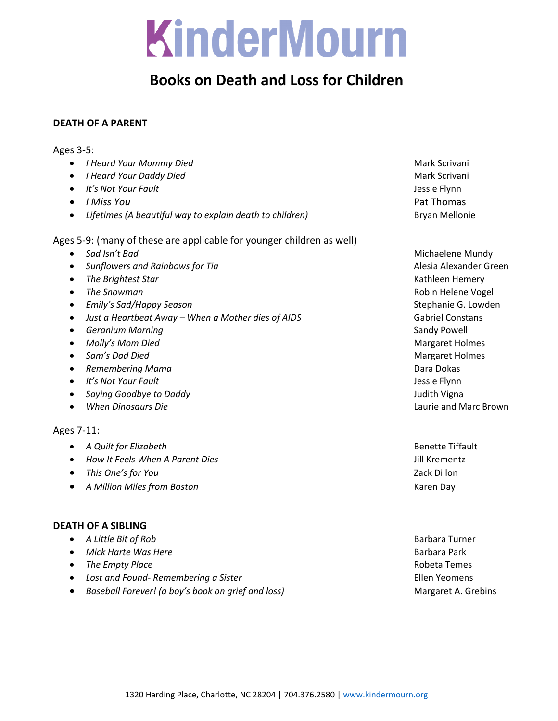## KinderMourn

## **Books on Death and Loss for Children**

## **DEATH OF A PARENT**

## Ages 3‐5:

- *I Heard Your Mommy Died* Mark Scrivani
- *I Heard Your Daddy Died* Mark Scrivani
- *It's Not Your Fault* Jessie Flynn
- *I Miss You* Pat Thomas
- *Lifetimes (A beautiful way to explain death to children)* Bryan Mellonie

Ages 5‐9: (many of these are applicable for younger children as well)

- 
- *Sunflowers and Rainbows for Tia* Alesia Alexander Green
- **•** The Brightest Star **by Community Community Community Community Community Community Community Community Community Community Community Community Community Community Community Community Community Community Community Com**
- 
- *Emily's Sad/Happy Season* Stephanie G. Lowden
- *Just a Heartbeat Away – When a Mother dies of AIDS* Gabriel Constans
- **•** Geranium Morning **by Community Community Community Community** Sandy Powell
- **•** Molly's Mom Died **by a strategies of the Margaret Holmes by a strategies of the Margaret Holmes a** matrice of the Margaret Holmes
- *Sam's Dad Died* Margaret Holmes
- **•** Remembering Mama **by a strategie of the contract of the Contract of the Contract of the Contract of the Contract of the Contract of the Contract of the Contract of the Contract of the Contract of the Contract of the Co**
- *It's Not Your Fault* Jessie Flynn
- *Saying Goodbye to Daddy* Judith Vigna
- *When Dinosaurs Die* Laurie and Marc Brown

## Ages 7‐11:

- *A Quilt for Elizabeth* Benette Tiffault
- *How It Feels When A Parent Dies* Jill Krementz
- *This One's for You* Zack Dillon
- *A Million Miles from Boston* Karen Day

## **DEATH OF A SIBLING**

- *A Little Bit of Rob* Barbara Turner
- *Mick Harte Was Here* Barbara Park
- **•** The Empty Place **by** *The Empty Place* *Empty Place* *Robeta Temes Robeta Temes*
- Lost and Found<sup>*← Remembering a Sister* **but a** *Commens Clien Yeomens*</sup>
- *Baseball Forever! (a boy's book on grief and loss)* Margaret A. Grebins

**•** Sad Isn't Bad<sup>*i*</sup> **Bad**<sup>*n*</sup> *Sad Isn't Bad<sup>i</sup>* **<b>***Sad Isn't Bad<sup>i</sup>**Sad Isn't Bad Michaelene Mundy Michaelene Mundy The Snowman* Robin Helene Vogel